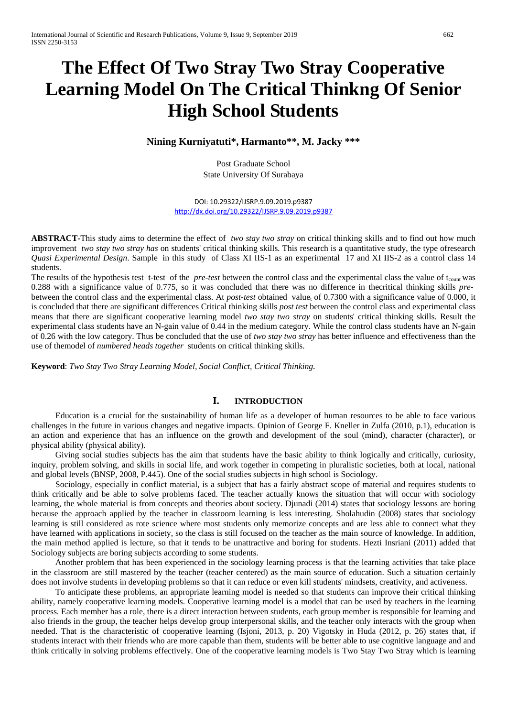# **The Effect Of Two Stray Two Stray Cooperative Learning Model On The Critical Thinkng Of Senior High School Students**

# **Nining Kurniyatuti\*, Harmanto\*\*, M. Jacky \*\*\***

Post Graduate School State University Of Surabaya

DOI: 10.29322/IJSRP.9.09.2019.p9387 <http://dx.doi.org/10.29322/IJSRP.9.09.2019.p9387>

**ABSTRACT-**This study aims to determine the effect of *two stay two stray* on critical thinking skills and to find out how much improvement *two stay two stray has* on students' critical thinking skills*.* This research is a quantitative study, the type ofresearch *Quasi Experimental Design*. Sample in this study of Class XI IIS-1 as an experimental 17 and XI IIS-2 as a control class 14 students.

The results of the hypothesis test t-test of the *pre-test* between the control class and the experimental class the value of t<sub>count</sub> was 0.288 with a significance value of 0.775, so it was concluded that there was no difference in thecritical thinking skills *pre*between the control class and the experimental class. At *post-test* obtained value<sub>t</sub> of 0.7300 with a significance value of 0.000, it is concluded that there are significant differences Critical thinking skills *post test* between the control class and experimental class means that there are significant cooperative learning model *two stay two stray* on students' critical thinking skills. Result the experimental class students have an N-gain value of 0.44 in the medium category. While the control class students have an N-gain of 0.26 with the low category. Thus be concluded that the use of *two stay two stray* has better influence and effectiveness than the use of themodel of *numbered heads together* students on critical thinking skills.

**Keyword**: *Two Stay Two Stray Learning Model, Social Conflict, Critical Thinking.*

# **I. INTRODUCTION**

Education is a crucial for the sustainability of human life as a developer of human resources to be able to face various challenges in the future in various changes and negative impacts. Opinion of George F. Kneller in Zulfa (2010, p.1), education is an action and experience that has an influence on the growth and development of the soul (mind), character (character), or physical ability (physical ability).

Giving social studies subjects has the aim that students have the basic ability to think logically and critically, curiosity, inquiry, problem solving, and skills in social life, and work together in competing in pluralistic societies, both at local, national and global levels (BNSP, 2008, P.445). One of the social studies subjects in high school is Sociology.

Sociology, especially in conflict material, is a subject that has a fairly abstract scope of material and requires students to think critically and be able to solve problems faced. The teacher actually knows the situation that will occur with sociology learning, the whole material is from concepts and theories about society. Djunadi (2014) states that sociology lessons are boring because the approach applied by the teacher in classroom learning is less interesting. Sholahudin (2008) states that sociology learning is still considered as rote science where most students only memorize concepts and are less able to connect what they have learned with applications in society, so the class is still focused on the teacher as the main source of knowledge. In addition, the main method applied is lecture, so that it tends to be unattractive and boring for students. Hezti Insriani (2011) added that Sociology subjects are boring subjects according to some students.

Another problem that has been experienced in the sociology learning process is that the learning activities that take place in the classroom are still mastered by the teacher (teacher centered) as the main source of education. Such a situation certainly does not involve students in developing problems so that it can reduce or even kill students' mindsets, creativity, and activeness.

To anticipate these problems, an appropriate learning model is needed so that students can improve their critical thinking ability, namely cooperative learning models. Cooperative learning model is a model that can be used by teachers in the learning process. Each member has a role, there is a direct interaction between students, each group member is responsible for learning and also friends in the group, the teacher helps develop group interpersonal skills, and the teacher only interacts with the group when needed. That is the characteristic of cooperative learning (Isjoni, 2013, p. 20) Vigotsky in Huda (2012, p. 26) states that, if students interact with their friends who are more capable than them, students will be better able to use cognitive language and and think critically in solving problems effectively. One of the cooperative learning models is Two Stay Two Stray which is learning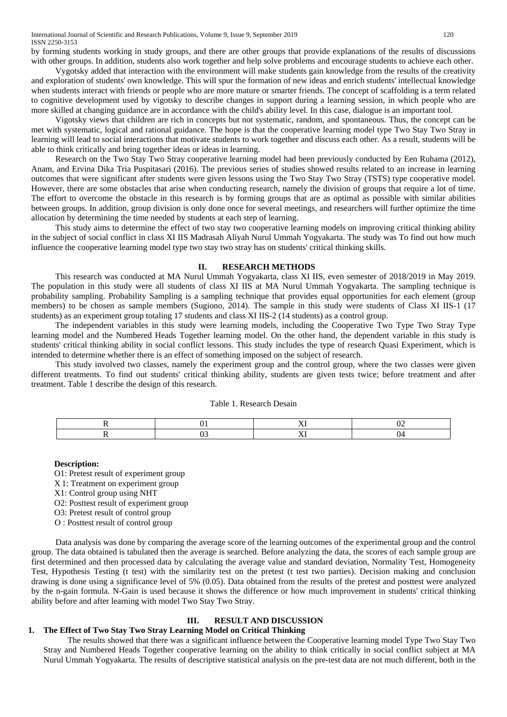by forming students working in study groups, and there are other groups that provide explanations of the results of discussions with other groups. In addition, students also work together and help solve problems and encourage students to achieve each other.

Vygotsky added that interaction with the environment will make students gain knowledge from the results of the creativity and exploration of students' own knowledge. This will spur the formation of new ideas and enrich students' intellectual knowledge when students interact with friends or people who are more mature or smarter friends. The concept of scaffolding is a term related to cognitive development used by vigotsky to describe changes in support during a learning session, in which people who are more skilled at changing guidance are in accordance with the child's ability level. In this case, dialogue is an important tool.

Vigotsky views that children are rich in concepts but not systematic, random, and spontaneous. Thus, the concept can be met with systematic, logical and rational guidance. The hope is that the cooperative learning model type Two Stay Two Stray in learning will lead to social interactions that motivate students to work together and discuss each other. As a result, students will be able to think critically and bring together ideas or ideas in learning.

Research on the Two Stay Two Stray cooperative learning model had been previously conducted by Een Ruhama (2012), Anam, and Ervina Dika Tria Puspitasari (2016). The previous series of studies showed results related to an increase in learning outcomes that were significant after students were given lessons using the Two Stay Two Stray (TSTS) type cooperative model. However, there are some obstacles that arise when conducting research, namely the division of groups that require a lot of time. The effort to overcome the obstacle in this research is by forming groups that are as optimal as possible with similar abilities between groups. In addition, group division is only done once for several meetings, and researchers will further optimize the time allocation by determining the time needed by students at each step of learning.

This study aims to determine the effect of two stay two cooperative learning models on improving critical thinking ability in the subject of social conflict in class XI IIS Madrasah Aliyah Nurul Ummah Yogyakarta. The study was To find out how much influence the cooperative learning model type two stay two stray has on students' critical thinking skills.

### **II. RESEARCH METHODS**

This research was conducted at MA Nurul Ummah Yogyakarta, class XI IIS, even semester of 2018/2019 in May 2019. The population in this study were all students of class XI IIS at MA Nurul Ummah Yogyakarta. The sampling technique is probability sampling. Probability Sampling is a sampling technique that provides equal opportunities for each element (group members) to be chosen as sample members (Sugiono, 2014). The sample in this study were students of Class XI IIS-1 (17) students) as an experiment group totaling 17 students and class XI IIS-2 (14 students) as a control group.

The independent variables in this study were learning models, including the Cooperative Two Type Two Stray Type learning model and the Numbered Heads Together learning model. On the other hand, the dependent variable in this study is students' critical thinking ability in social conflict lessons. This study includes the type of research Quasi Experiment, which is intended to determine whether there is an effect of something imposed on the subject of research.

This study involved two classes, namely the experiment group and the control group, where the two classes were given different treatments. To find out students' critical thinking ability, students are given tests twice; before treatment and after treatment. Table 1 describe the design of this research.

#### Table 1. Research Desain

#### **Description:**

O1: Pretest result of experiment group X 1: Treatment on experiment group

- X1: Control group using NHT
- O2: Posttest result of experiment group
- O3: Pretest result of control group
- O : Posttest result of control group

Data analysis was done by comparing the average score of the learning outcomes of the experimental group and the control group. The data obtained is tabulated then the average is searched. Before analyzing the data, the scores of each sample group are first determined and then processed data by calculating the average value and standard deviation, Normality Test, Homogeneity Test, Hypothesis Testing (t test) with the similarity test on the pretest (t test two parties). Decision making and conclusion drawing is done using a significance level of 5% (0.05). Data obtained from the results of the pretest and posttest were analyzed by the n-gain formula. N-Gain is used because it shows the difference or how much improvement in students' critical thinking ability before and after learning with model Two Stay Two Stray.

## **III. RESULT AND DISCUSSION**

#### **1. The Effect of Two Stay Two Stray Learning Model on Critical Thinking**

The results showed that there was a significant influence between the Cooperative learning model Type Two Stay Two Stray and Numbered Heads Together cooperative learning on the ability to think critically in social conflict subject at MA Nurul Ummah Yogyakarta. The results of descriptive statistical analysis on the pre-test data are not much different, both in the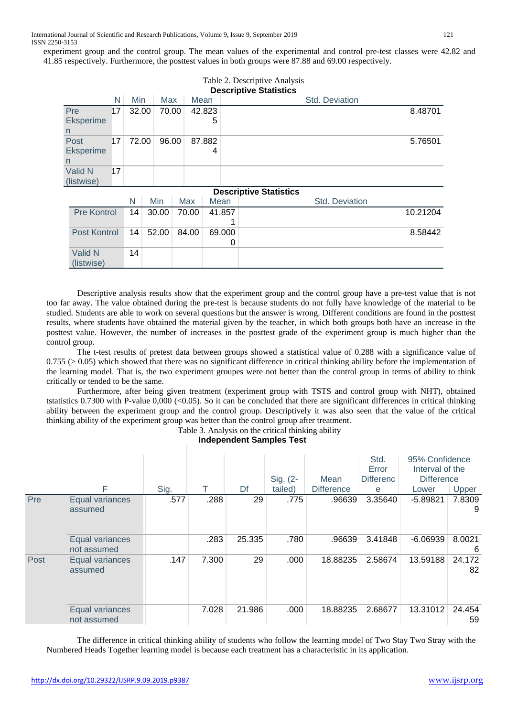experiment group and the control group. The mean values of the experimental and control pre-test classes were 42.82 and 41.85 respectively. Furthermore, the posttest values in both groups were 87.88 and 69.00 respectively.

|                               |    |       |  |       |        |       |             |             | Table 2. Descriptive Analysis |  |                       |                       |          |
|-------------------------------|----|-------|--|-------|--------|-------|-------------|-------------|-------------------------------|--|-----------------------|-----------------------|----------|
| <b>Descriptive Statistics</b> |    |       |  |       |        |       |             |             |                               |  |                       |                       |          |
|                               | N  | Min   |  | Max   |        | Mean  |             |             |                               |  | <b>Std. Deviation</b> |                       |          |
| Pre<br><b>Eksperime</b><br>n  | 17 | 32.00 |  | 70.00 | 42.823 |       | 5           |             |                               |  |                       | 8.48701               |          |
| Post<br>Eksperime<br>n        | 17 | 72.00 |  | 96.00 |        |       | 87.882<br>4 |             |                               |  |                       |                       | 5.76501  |
| Valid N<br>(listwise)         | 17 |       |  |       |        |       |             |             |                               |  |                       |                       |          |
|                               |    |       |  |       |        |       |             |             | <b>Descriptive Statistics</b> |  |                       |                       |          |
|                               |    | N     |  | Min   |        | Max   | Mean        |             |                               |  |                       | <b>Std. Deviation</b> |          |
| <b>Pre Kontrol</b>            |    | 14    |  | 30.00 |        | 70.00 |             | 41.857      |                               |  |                       |                       | 10.21204 |
| <b>Post Kontrol</b>           |    | 14    |  | 52.00 |        | 84.00 |             | 69.000<br>0 |                               |  |                       |                       | 8.58442  |
| Valid N<br>(listwise)         |    | 14    |  |       |        |       |             |             |                               |  |                       |                       |          |

Descriptive analysis results show that the experiment group and the control group have a pre-test value that is not too far away. The value obtained during the pre-test is because students do not fully have knowledge of the material to be studied. Students are able to work on several questions but the answer is wrong. Different conditions are found in the posttest results, where students have obtained the material given by the teacher, in which both groups both have an increase in the posttest value. However, the number of increases in the posttest grade of the experiment group is much higher than the control group.

The t-test results of pretest data between groups showed a statistical value of 0.288 with a significance value of  $0.755$  ( $> 0.05$ ) which showed that there was no significant difference in critical thinking ability before the implementation of the learning model. That is, the two experiment groupes were not better than the control group in terms of ability to think critically or tended to be the same.

Furthermore, after being given treatment (experiment group with TSTS and control group with NHT), obtained tstatistics 0.7300 with P-value 0,000 (<0.05). So it can be concluded that there are significant differences in critical thinking ability between the experiment group and the control group. Descriptively it was also seen that the value of the critical thinking ability of the experiment group was better than the control group after treatment. Table 3. Analysis on the critical thinking ability

|      | F                              | Sig. |       | Df     | Sig. (2-<br>tailed) | Mean<br><b>Difference</b> | Std.<br>Error<br><b>Differenc</b><br>e | 95% Confidence<br>Interval of the<br><b>Difference</b><br>Lower | Upper        |
|------|--------------------------------|------|-------|--------|---------------------|---------------------------|----------------------------------------|-----------------------------------------------------------------|--------------|
| Pre  | Equal variances<br>assumed     | .577 | .288  | 29     | .775                | .96639                    | 3.35640                                | $-5.89821$                                                      | 7.8309<br>9  |
|      | Equal variances<br>not assumed |      | .283  | 25.335 | .780                | .96639                    | 3.41848                                | $-6.06939$                                                      | 8.0021<br>6  |
| Post | Equal variances<br>assumed     | .147 | 7.300 | 29     | .000                | 18.88235                  | 2.58674                                | 13.59188                                                        | 24.172<br>82 |
|      | Equal variances<br>not assumed |      | 7.028 | 21.986 | .000                | 18.88235                  | 2.68677                                | 13.31012                                                        | 24.454<br>59 |

**Independent Samples Test**

The difference in critical thinking ability of students who follow the learning model of Two Stay Two Stray with the Numbered Heads Together learning model is because each treatment has a characteristic in its application.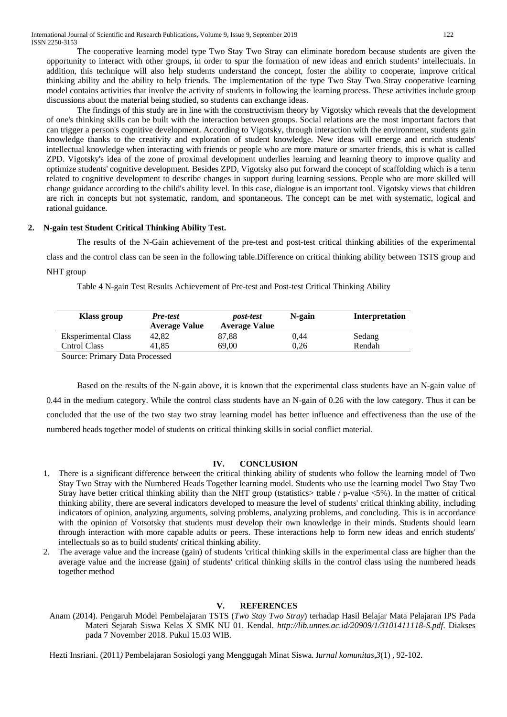The cooperative learning model type Two Stay Two Stray can eliminate boredom because students are given the opportunity to interact with other groups, in order to spur the formation of new ideas and enrich students' intellectuals. In addition, this technique will also help students understand the concept, foster the ability to cooperate, improve critical thinking ability and the ability to help friends. The implementation of the type Two Stay Two Stray cooperative learning model contains activities that involve the activity of students in following the learning process. These activities include group discussions about the material being studied, so students can exchange ideas.

The findings of this study are in line with the constructivism theory by Vigotsky which reveals that the development of one's thinking skills can be built with the interaction between groups. Social relations are the most important factors that can trigger a person's cognitive development. According to Vigotsky, through interaction with the environment, students gain knowledge thanks to the creativity and exploration of student knowledge. New ideas will emerge and enrich students' intellectual knowledge when interacting with friends or people who are more mature or smarter friends, this is what is called ZPD. Vigotsky's idea of the zone of proximal development underlies learning and learning theory to improve quality and optimize students' cognitive development. Besides ZPD, Vigotsky also put forward the concept of scaffolding which is a term related to cognitive development to describe changes in support during learning sessions. People who are more skilled will change guidance according to the child's ability level. In this case, dialogue is an important tool. Vigotsky views that children are rich in concepts but not systematic, random, and spontaneous. The concept can be met with systematic, logical and rational guidance.

# **2. N-gain test Student Critical Thinking Ability Test.**

The results of the N-Gain achievement of the pre-test and post-test critical thinking abilities of the experimental class and the control class can be seen in the following table.Difference on critical thinking ability between TSTS group and NHT group

Table 4 N-gain Test Results Achievement of Pre-test and Post-test Critical Thinking Ability

| Klass group                | Pre-test<br><b>Average Value</b> | <i>post-test</i><br><b>Average Value</b> | N-gain | <b>Interpretation</b> |
|----------------------------|----------------------------------|------------------------------------------|--------|-----------------------|
| <b>Eksperimental Class</b> | 42.82                            | 87,88                                    | 0.44   | Sedang                |
| Cntrol Class               | 41.85                            | 69.00                                    | 0.26   | Rendah                |
| $\alpha$ n'n n 1           |                                  |                                          |        |                       |

Source: Primary Data Processed

Based on the results of the N-gain above, it is known that the experimental class students have an N-gain value of 0.44 in the medium category. While the control class students have an N-gain of 0.26 with the low category. Thus it can be concluded that the use of the two stay two stray learning model has better influence and effectiveness than the use of the numbered heads together model of students on critical thinking skills in social conflict material.

# **IV. CONCLUSION**

- 1. There is a significant difference between the critical thinking ability of students who follow the learning model of Two Stay Two Stray with the Numbered Heads Together learning model. Students who use the learning model Two Stay Two Stray have better critical thinking ability than the NHT group (tstatistics> ttable / p-value <5%). In the matter of critical thinking ability, there are several indicators developed to measure the level of students' critical thinking ability, including indicators of opinion, analyzing arguments, solving problems, analyzing problems, and concluding. This is in accordance with the opinion of Votsotsky that students must develop their own knowledge in their minds. Students should learn through interaction with more capable adults or peers. These interactions help to form new ideas and enrich students' intellectuals so as to build students' critical thinking ability.
- 2. The average value and the increase (gain) of students 'critical thinking skills in the experimental class are higher than the average value and the increase (gain) of students' critical thinking skills in the control class using the numbered heads together method

#### **V. REFERENCES**

Anam (2014). Pengaruh Model Pembelajaran TSTS (*Two Stay Two Stray*) terhadap Hasil Belajar Mata Pelajaran IPS Pada Materi Sejarah Siswa Kelas X SMK NU 01. Kendal. *http://lib.unnes.ac.id/20909/1/3101411118-S.pdf*. Diakses pada 7 November 2018. Pukul 15.03 WIB.

Hezti Insriani. (2011*)* Pembelajaran Sosiologi yang Menggugah Minat Siswa*.* J*urnal komunitas,3*(1) , 92-102.